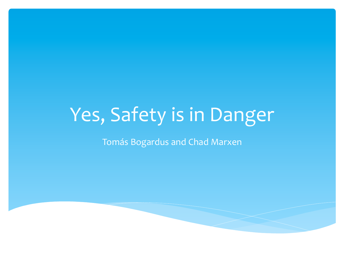# Yes, Safety is in Danger

Tomás Bogardus and Chad Marxen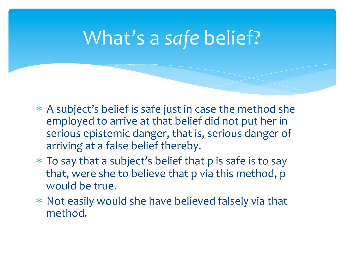## What's a safe belief?

- $*$  A subject's belief is safe just in case the method she employed to arrive at that belief did not put her in serious epistemic danger, that is, serious danger of arriving at a false belief thereby.
- $*$  To say that a subject's belief that p is safe is to say that, were she to believe that p via this method, p would be true.
- $*$  Not easily would she have believed falsely via that method.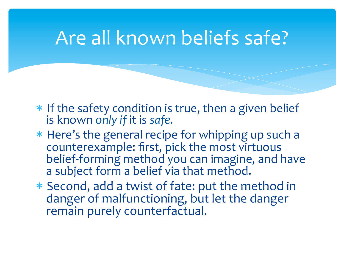#### Are all known beliefs safe?

- $*$  If the safety condition is true, then a given belief is known only if it is safe.
- \* Here's the general recipe for whipping up such a counterexample: first, pick the most virtuous belief-forming method you can imagine, and have a subject form a belief via that method.
- \* Second, add a twist of fate: put the method in danger of malfunctioning, but let the danger remain purely counterfactual.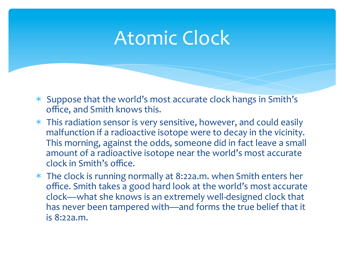## Atomic Clock

- \* Suppose that the world's most accurate clock hangs in Smith's office, and Smith knows this.
- $*$  This radiation sensor is very sensitive, however, and could easily malfunction if a radioactive isotope were to decay in the vicinity. This morning, against the odds, someone did in fact leave a small amount of a radioactive isotope near the world's most accurate clock in Smith's office.
- $*$  The clock is running normally at 8:22a.m. when Smith enters her office. Smith takes a good hard look at the world's most accurate clock—what she knows is an extremely well-designed clock that has never been tampered with—and forms the true belief that it is 8:22a.m.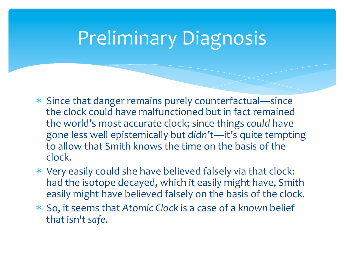## Preliminary Diagnosis

- \* Since that danger remains purely counterfactual—since the clock could have malfunctioned but in fact remained the world's most accurate clock; since things *could* have gone less well epistemically but *didn't*—it's quite tempting to allow that Smith knows the time on the basis of the clock.
- \* Very easily could she have believed falsely via that clock: had the isotope decayed, which it easily might have, Smith easily might have believed falsely on the basis of the clock.
- \* So, it seems that Atomic Clock is a case of a known belief that isn't safe.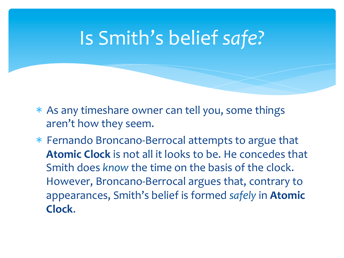## Is Smith's belief safe?

- $*$  As any timeshare owner can tell you, some things aren't how they seem.
- \* Fernando Broncano-Berrocal attempts to argue that **Atomic Clock** is not all it looks to be. He concedes that Smith does *know* the time on the basis of the clock. However, Broncano-Berrocal argues that, contrary to appearances, Smith's belief is formed safely in Atomic **Clock**.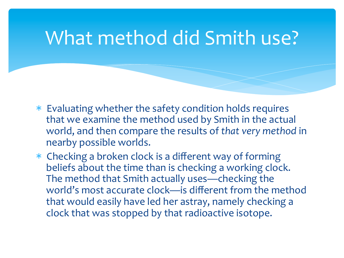## What method did Smith use?

- \* Evaluating whether the safety condition holds requires that we examine the method used by Smith in the actual world, and then compare the results of that very method in nearby possible worlds.
- \* Checking a broken clock is a different way of forming beliefs about the time than is checking a working clock. The method that Smith actually uses—checking the world's most accurate clock—is different from the method that would easily have led her astray, namely checking a clock that was stopped by that radioactive isotope.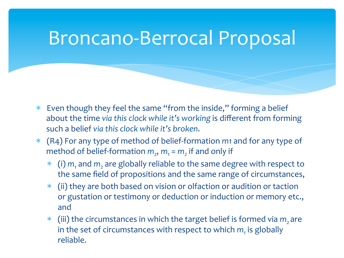## Broncano-Berrocal Proposal

- $*$  Even though they feel the same "from the inside," forming a belief about the time via this clock while it's working is different from forming such a belief *vig this clock while it's broken*.
- \* (R4) For any type of method of belief-formation *m1* and for any type of method of belief-formation  $m_2$ ,  $m_1 = m_2$  if and only if
	- \* (i)  $m_1$  and  $m_2$  are globally reliable to the same degree with respect to the same field of propositions and the same range of circumstances,
	- $*$  (ii) they are both based on vision or olfaction or audition or taction or gustation or testimony or deduction or induction or memory etc., and
	- \* (iii) the circumstances in which the target belief is formed via *m*, are in the set of circumstances with respect to which  $m<sub>1</sub>$  is globally reliable.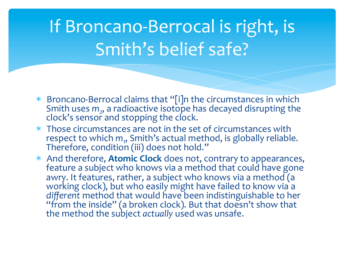## If Broncano-Berrocal is right, is Smith's belief safe?

- \* Broncano-Berrocal claims that "[i]n the circumstances in which Smith uses  $m_2$ , a radioactive isotope has decayed disrupting the clock's sensor and stopping the clock.
- \* Those circumstances are not in the set of circumstances with respect to which  $m_{\eta}$ , Smith's actual method, is globally reliable.<br>Therefore, condition (iii) does not hold.''
- \* And therefore, **Atomic Clock** does not, contrary to appearances, feature a subject who knows via a method that could have gone awry. It features, rather, a subject who knows via a method  $\alpha$ working clock), but who easily might have failed to know via a *different* method that would have been indistinguishable to her<br>"from the inside" (a broken clock). But that doesn't show that the method the subject *actually* used was unsafe.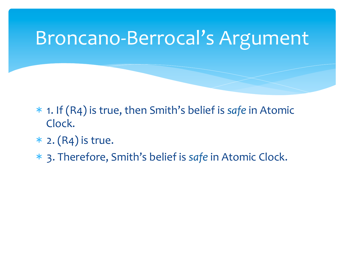#### Broncano-Berrocal's Argument

- \* 1. If (R4) is true, then Smith's belief is *safe* in Atomic Clock.
- $*$  2. (R4) is true.
- \* 3. Therefore, Smith's belief is *safe* in Atomic Clock.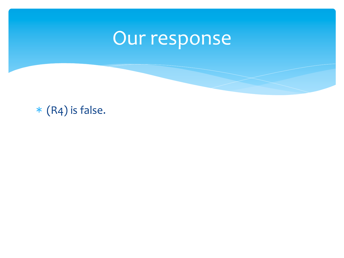# Our response

 $*(R4)$  is false.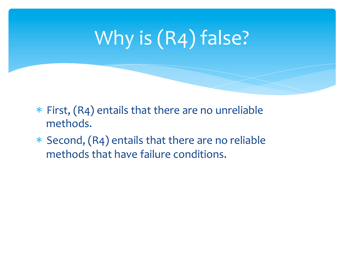# Why is (R4) false?

- $*$  First,  $(R4)$  entails that there are no unreliable methods.
- $*$  Second, (R4) entails that there are no reliable methods that have failure conditions.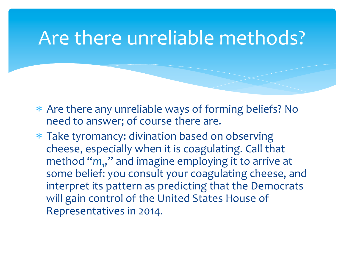#### Are there unreliable methods?

- \* Are there any unreliable ways of forming beliefs? No need to answer; of course there are.
- \* Take tyromancy: divination based on observing cheese, especially when it is coagulating. Call that method "m<sub>1</sub>," and imagine employing it to arrive at some belief: you consult your coagulating cheese, and interpret its pattern as predicting that the Democrats will gain control of the United States House of Representatives in 2014.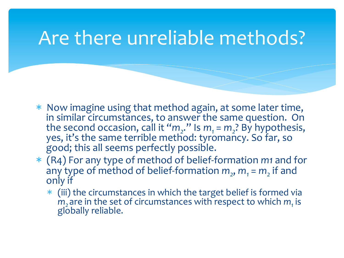#### Are there unreliable methods?

- \* Now imagine using that method again, at some later time, in similar circumstances, to answer the same question. On the second occasion, call it " $m_2$ ." Is  $m_1 = m_2$ ? By hypothesis, yes, it's the same terrible method: tyromancy. So far, so good; this all seems perfectly possible.
- \* (R4) For any type of method of belief-formation *m1* and for any type of method of belief-formation  $m_2$ ,  $m_1 = m_2$  if and only if
	- $*$  (iii) the circumstances in which the target belief is formed via *m*<sub>2</sub> are in the set of circumstances with respect to which  $m<sub>1</sub>$  is globally reliable.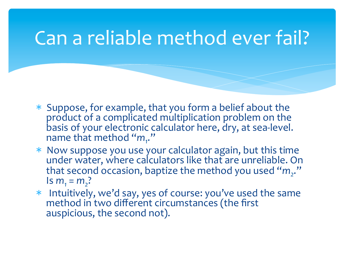## Can a reliable method ever fail?

- $*$  Suppose, for example, that you form a belief about the product of a complicated multiplication problem on the basis of your electronic calculator here, dry, at sea-level. name that method "m<sub>1</sub>."
- \* Now suppose you use your calculator again, but this time under water, where calculators like that are unreliable. On that second occasion, baptize the method you used "m<sub>2</sub>."  $Im_1 = m_2$ ?
- \* Intuitively, we'd say, yes of course: you've used the same method in two different circumstances (the first auspicious, the second not).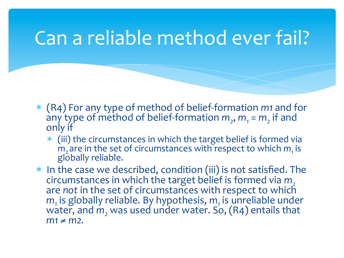#### Can a reliable method ever fail?

- \* (R4) For any type of method of belief-formation *m1* and for any type of method of belief-formation  $m_2$ ,  $m_1 = m_2$  if and only if
	- $*$  (iii) the circumstances in which the target belief is formed via *m*<sub>2</sub> are in the set of circumstances with respect to which *m*<sub>1</sub> is globally reliable.
- $*$  In the case we described, condition (iii) is not satisfied. The circumstances in which the target belief is formed via *m*<sub>2</sub> are *not* in the set of circumstances with respect to which  $m<sub>1</sub>$  is globally reliable. By hypothesis,  $m<sub>1</sub>$  is unreliable under water, and  $m_2$  was used under water. So,  $(R4)$  entails that  $m1 \neq m2$ .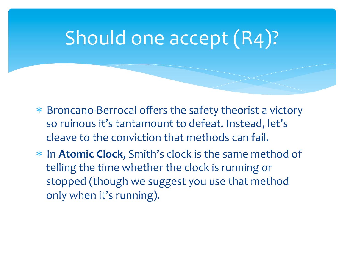## Should one accept (R4)?

- \* Broncano-Berrocal offers the safety theorist a victory so ruinous it's tantamount to defeat. Instead, let's cleave to the conviction that methods can fail.
- \* In **Atomic Clock**, Smith's clock is the same method of telling the time whether the clock is running or stopped (though we suggest you use that method only when it's running).